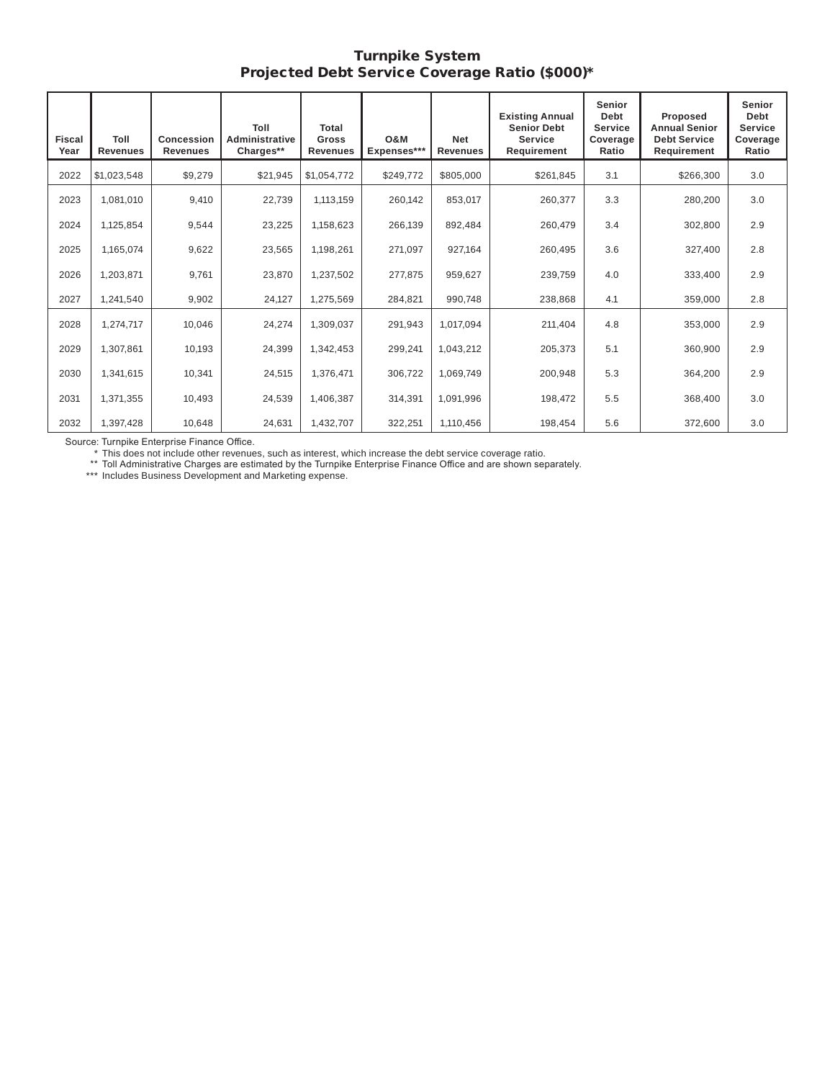Turnpike System Projected Debt Service Coverage Ratio (\$000)\*

| Fiscal<br>Year | Toll<br><b>Revenues</b> | <b>Concession</b><br><b>Revenues</b> | Toll<br><b>Administrative</b><br>Charges** | <b>Total</b><br><b>Gross</b><br><b>Revenues</b> | O&M<br>Expenses*** | <b>Net</b><br>Revenues | <b>Existing Annual</b><br><b>Senior Debt</b><br><b>Service</b><br>Requirement | Senior<br><b>Debt</b><br><b>Service</b><br>Coverage<br>Ratio | Proposed<br><b>Annual Senior</b><br><b>Debt Service</b><br>Requirement | <b>Senior</b><br><b>Debt</b><br><b>Service</b><br>Coverage<br>Ratio |
|----------------|-------------------------|--------------------------------------|--------------------------------------------|-------------------------------------------------|--------------------|------------------------|-------------------------------------------------------------------------------|--------------------------------------------------------------|------------------------------------------------------------------------|---------------------------------------------------------------------|
| 2022           | \$1,023,548             | \$9,279                              | \$21,945                                   | \$1,054,772                                     | \$249,772          | \$805,000              | \$261,845                                                                     | 3.1                                                          | \$266,300                                                              | 3.0                                                                 |
| 2023           | 1,081,010               | 9,410                                | 22,739                                     | 1,113,159                                       | 260,142            | 853,017                | 260,377                                                                       | 3.3                                                          | 280,200                                                                | 3.0                                                                 |
| 2024           | 1,125,854               | 9,544                                | 23,225                                     | 1,158,623                                       | 266,139            | 892,484                | 260,479                                                                       | 3.4                                                          | 302,800                                                                | 2.9                                                                 |
| 2025           | 1,165,074               | 9,622                                | 23,565                                     | 1,198,261                                       | 271,097            | 927,164                | 260,495                                                                       | 3.6                                                          | 327,400                                                                | 2.8                                                                 |
| 2026           | 1,203,871               | 9,761                                | 23,870                                     | 1,237,502                                       | 277,875            | 959,627                | 239,759                                                                       | 4.0                                                          | 333,400                                                                | 2.9                                                                 |
| 2027           | 1,241,540               | 9,902                                | 24,127                                     | 1,275,569                                       | 284,821            | 990,748                | 238,868                                                                       | 4.1                                                          | 359,000                                                                | 2.8                                                                 |
| 2028           | 1,274,717               | 10,046                               | 24,274                                     | 1,309,037                                       | 291,943            | 1,017,094              | 211,404                                                                       | 4.8                                                          | 353,000                                                                | 2.9                                                                 |
| 2029           | 1,307,861               | 10,193                               | 24,399                                     | 1,342,453                                       | 299,241            | 1,043,212              | 205,373                                                                       | 5.1                                                          | 360,900                                                                | 2.9                                                                 |
| 2030           | 1,341,615               | 10,341                               | 24,515                                     | 1,376,471                                       | 306,722            | 1,069,749              | 200,948                                                                       | 5.3                                                          | 364,200                                                                | 2.9                                                                 |
| 2031           | 1,371,355               | 10,493                               | 24,539                                     | 1,406,387                                       | 314,391            | 1,091,996              | 198,472                                                                       | 5.5                                                          | 368,400                                                                | 3.0                                                                 |
| 2032           | 1,397,428               | 10,648                               | 24,631                                     | 1,432,707                                       | 322,251            | 1,110,456              | 198,454                                                                       | 5.6                                                          | 372,600                                                                | 3.0                                                                 |

Source: Turnpike Enterprise Finance Office.

\* This does not include other revenues, such as interest, which increase the debt service coverage ratio.

\*\* Toll Administrative Charges are estimated by the Turnpike Enterprise Finance Office and are shown separately.

\*\*\* Includes Business Development and Marketing expense.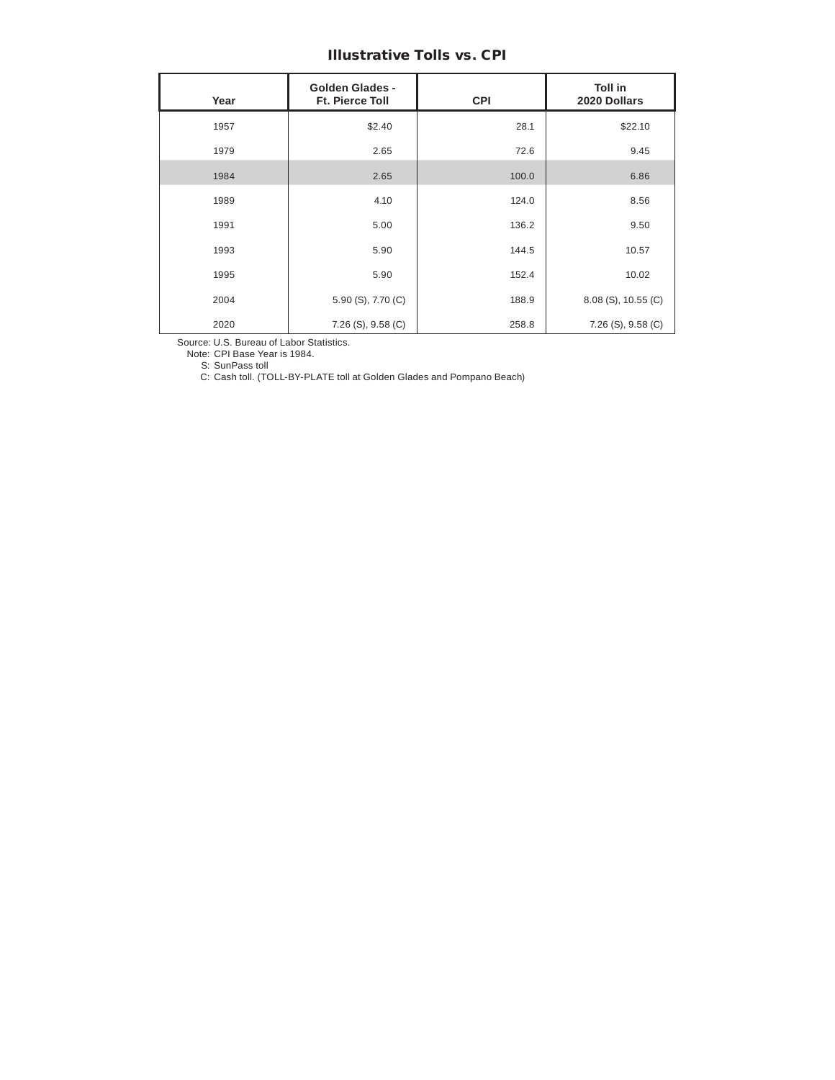# Illustrative Tolls vs. CPI

| Year | <b>Golden Glades -</b><br><b>Ft. Pierce Toll</b> | <b>CPI</b> | <b>Toll in</b><br>2020 Dollars |  |  |
|------|--------------------------------------------------|------------|--------------------------------|--|--|
| 1957 | \$2.40                                           | 28.1       | \$22.10                        |  |  |
| 1979 | 2.65                                             | 72.6       | 9.45                           |  |  |
| 1984 | 2.65                                             | 100.0      | 6.86                           |  |  |
| 1989 | 4.10                                             | 124.0      | 8.56                           |  |  |
| 1991 | 5.00                                             | 136.2      | 9.50                           |  |  |
| 1993 | 5.90                                             | 144.5      | 10.57                          |  |  |
| 1995 | 5.90                                             | 152.4      | 10.02                          |  |  |
| 2004 | 5.90 (S), 7.70 (C)                               | 188.9      | 8.08 (S), 10.55 (C)            |  |  |
| 2020 | $7.26$ (S), $9.58$ (C)                           | 258.8      | $7.26$ (S), $9.58$ (C)         |  |  |

Source: U.S. Bureau of Labor Statistics.

Note: CPI Base Year is 1984.

S: SunPass toll

C: Cash toll. (TOLL-BY-PLATE toll at Golden Glades and Pompano Beach)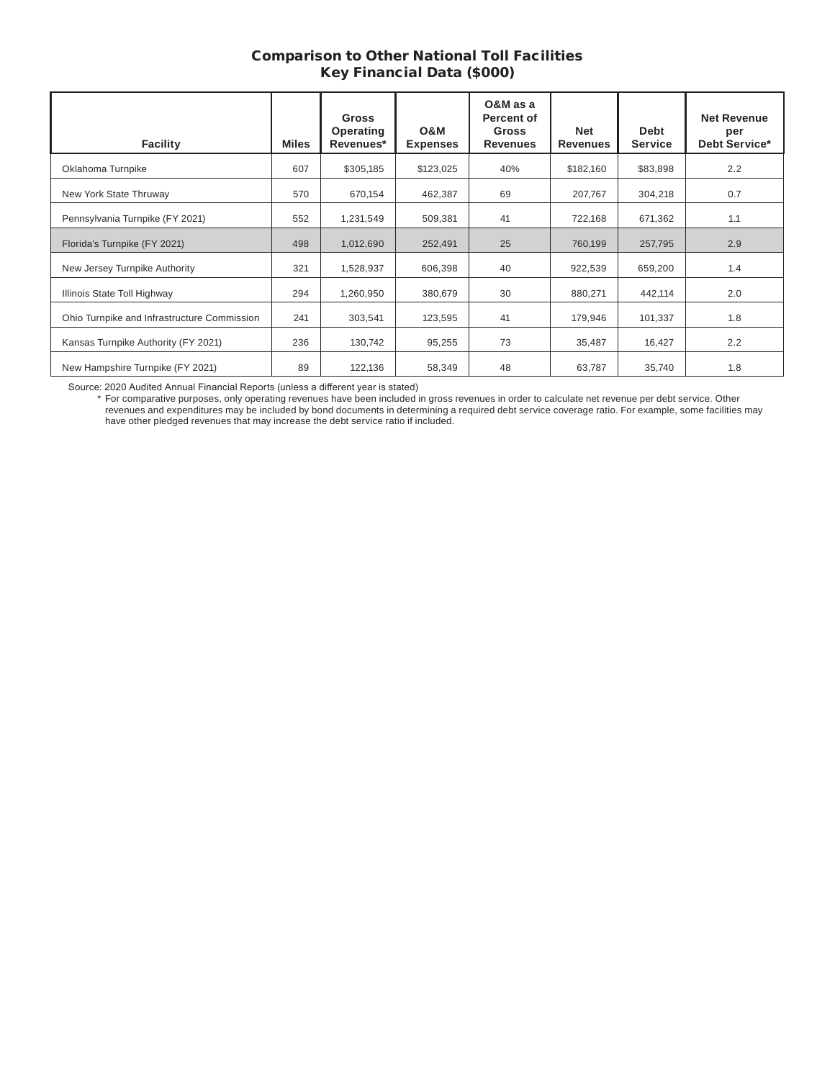# Comparison to Other National Toll Facilities Key Financial Data (\$000)

| <b>Facility</b>                             | <b>Miles</b> | Gross<br>Operating<br>Revenues* | O&M<br><b>Expenses</b> | O&M as a<br>Percent of<br><b>Gross</b><br><b>Revenues</b> | <b>Net</b><br><b>Revenues</b> | <b>Debt</b><br><b>Service</b> | <b>Net Revenue</b><br>per<br>Debt Service* |
|---------------------------------------------|--------------|---------------------------------|------------------------|-----------------------------------------------------------|-------------------------------|-------------------------------|--------------------------------------------|
| Oklahoma Turnpike                           | 607          | \$305,185                       | \$123,025              | 40%                                                       | \$182,160                     | \$83,898                      | 2.2                                        |
| New York State Thruway                      | 570          | 670,154                         | 462,387                | 69                                                        | 207,767                       | 304,218                       | 0.7                                        |
| Pennsylvania Turnpike (FY 2021)             | 552          | 1,231,549                       | 509,381                | 41                                                        | 722,168                       | 671,362                       | 1.1                                        |
| Florida's Turnpike (FY 2021)                | 498          | 1,012,690                       | 252,491                | 25                                                        | 760,199                       | 257,795                       | 2.9                                        |
| New Jersey Turnpike Authority               | 321          | 1,528,937                       | 606,398                | 40                                                        | 922,539                       | 659,200                       | 1.4                                        |
| Illinois State Toll Highway                 | 294          | 1,260,950                       | 380,679                | 30                                                        | 880,271                       | 442,114                       | 2.0                                        |
| Ohio Turnpike and Infrastructure Commission | 241          | 303,541                         | 123,595                | 41                                                        | 179,946                       | 101,337                       | 1.8                                        |
| Kansas Turnpike Authority (FY 2021)         | 236          | 130,742                         | 95,255                 | 73                                                        | 35,487                        | 16,427                        | 2.2                                        |
| New Hampshire Turnpike (FY 2021)            | 89           | 122,136                         | 58,349                 | 48                                                        | 63,787                        | 35,740                        | 1.8                                        |

Source: 2020 Audited Annual Financial Reports (unless a different year is stated)

\* For comparative purposes, only operating revenues have been included in gross revenues in order to calculate net revenue per debt service. Other revenues and expenditures may be included by bond documents in determining a required debt service coverage ratio. For example, some facilities may have other pledged revenues that may increase the debt service ratio if included.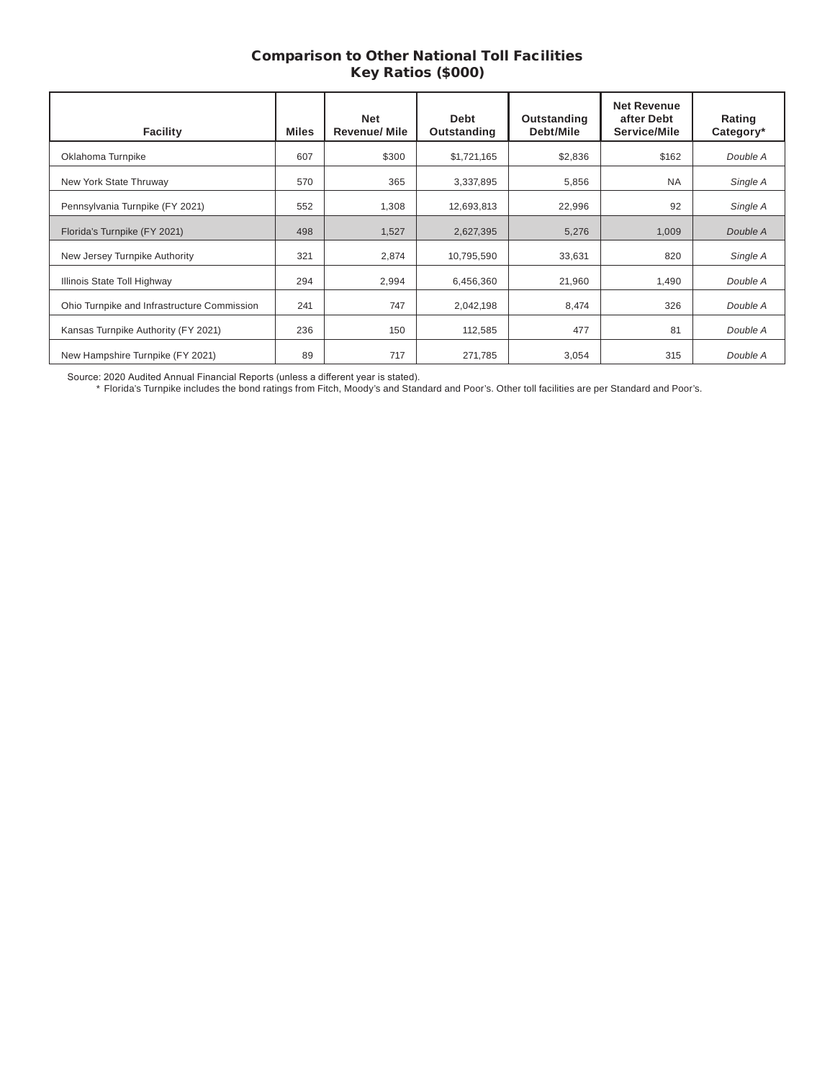## Comparison to Other National Toll Facilities Key Ratios (\$000)

| <b>Facility</b>                             | <b>Miles</b> | <b>Net</b><br><b>Revenue/Mile</b> | <b>Debt</b><br>Outstanding | Outstanding<br>Debt/Mile | <b>Net Revenue</b><br>after Debt<br>Service/Mile | Rating<br>Category* |
|---------------------------------------------|--------------|-----------------------------------|----------------------------|--------------------------|--------------------------------------------------|---------------------|
| Oklahoma Turnpike                           | 607          | \$300                             | \$1,721,165                | \$2,836                  | \$162                                            | Double A            |
| New York State Thruway                      | 570          | 365                               | 3,337,895                  | 5,856                    | <b>NA</b>                                        | Single A            |
| Pennsylvania Turnpike (FY 2021)             | 552          | 1,308                             | 12,693,813                 | 22,996                   | 92                                               | Single A            |
| Florida's Turnpike (FY 2021)                | 498          | 1,527                             | 2,627,395                  | 5,276                    | 1,009                                            | Double A            |
| New Jersey Turnpike Authority               | 321          | 2,874                             | 10,795,590                 | 33,631                   | 820                                              | Single A            |
| Illinois State Toll Highway                 | 294          | 2,994                             | 6,456,360                  | 21,960                   | 1,490                                            | Double A            |
| Ohio Turnpike and Infrastructure Commission | 241          | 747                               | 2,042,198                  | 8,474                    | 326                                              | Double A            |
| Kansas Turnpike Authority (FY 2021)         | 236          | 150                               | 112,585                    | 477                      | 81                                               | Double A            |
| New Hampshire Turnpike (FY 2021)            | 89           | 717                               | 271,785                    | 3,054                    | 315                                              | Double A            |

Source: 2020 Audited Annual Financial Reports (unless a different year is stated).

\* Florida's Turnpike includes the bond ratings from Fitch, Moody's and Standard and Poor's. Other toll facilities are per Standard and Poor's.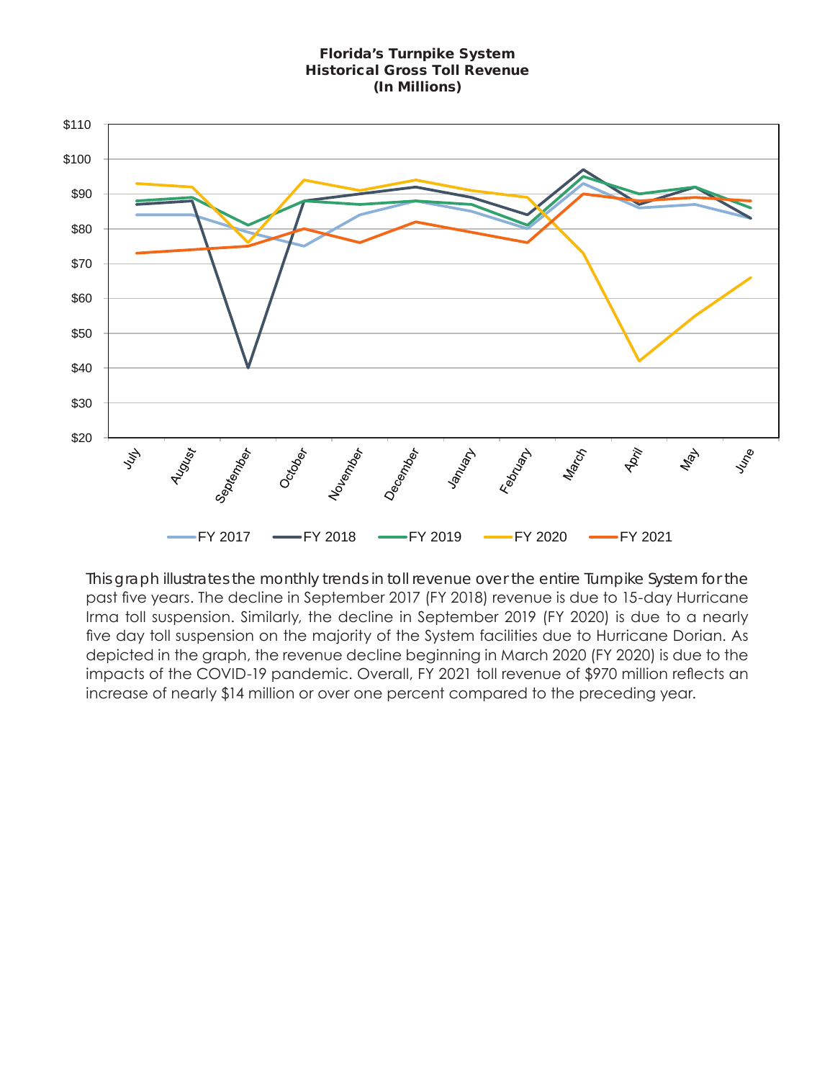### Florida's Turnpike System Historical Gross Toll Revenue (In Millions)



This graph illustrates the monthly trends in toll revenue over the entire Turnpike System for the past five years. The decline in September 2017 (FY 2018) revenue is due to 15-day Hurricane Irma toll suspension. Similarly, the decline in September 2019 (FY 2020) is due to a nearly five day toll suspension on the majority of the System facilities due to Hurricane Dorian. As depicted in the graph, the revenue decline beginning in March 2020 (FY 2020) is due to the impacts of the COVID-19 pandemic. Overall, FY 2021 toll revenue of \$970 million reflects an increase of nearly \$14 million or over one percent compared to the preceding year.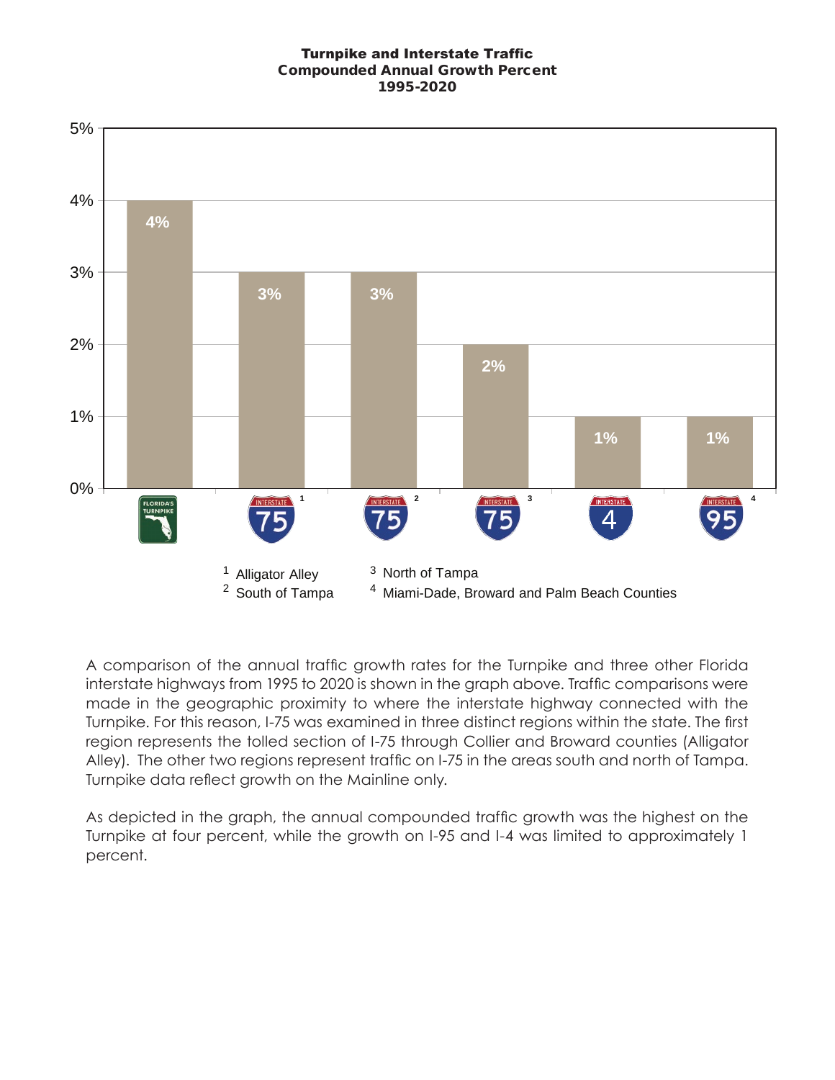## Turnpike and Interstate Traffic Compounded Annual Growth Percent 1995-2020



A comparison of the annual traffic growth rates for the Turnpike and three other Florida interstate highways from 1995 to 2020 is shown in the graph above. Traffic comparisons were made in the geographic proximity to where the interstate highway connected with the Turnpike. For this reason, I-75 was examined in three distinct regions within the state. The first region represents the tolled section of I-75 through Collier and Broward counties (Alligator Alley). The other two regions represent traffic on I-75 in the areas south and north of Tampa. Turnpike data reflect growth on the Mainline only.

As depicted in the graph, the annual compounded traffic growth was the highest on the Turnpike at four percent, while the growth on I-95 and I-4 was limited to approximately 1 percent.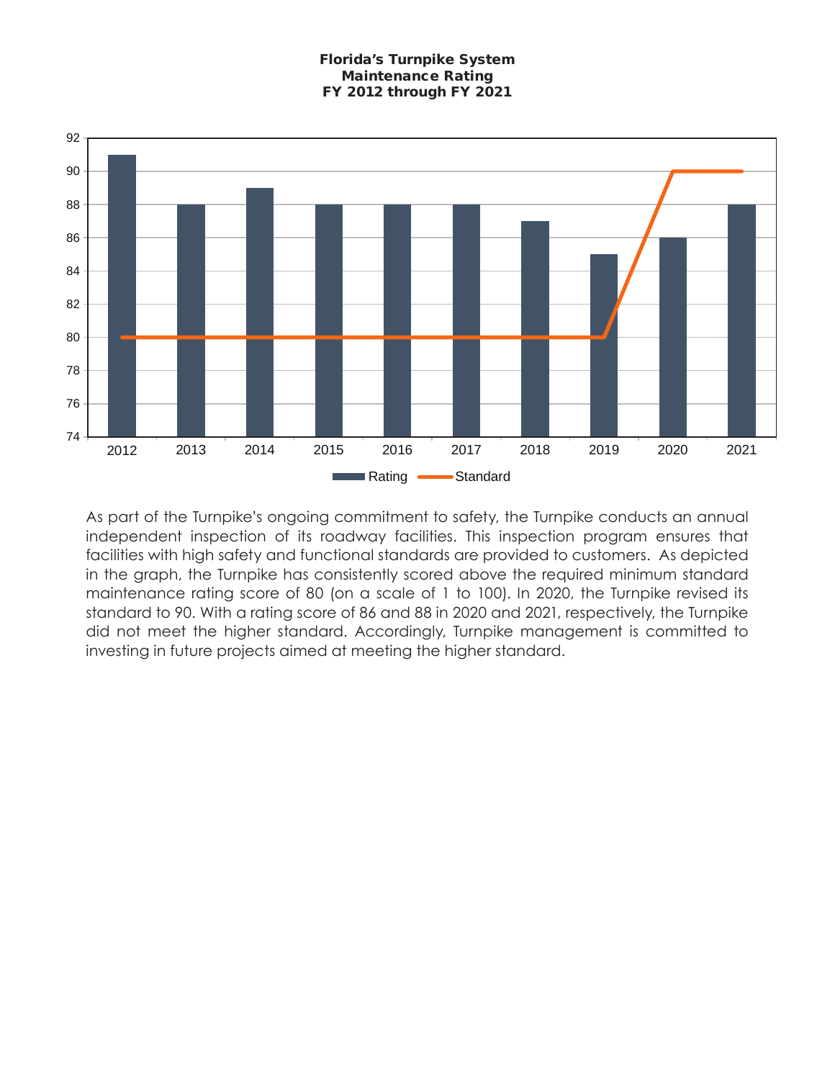# Florida's Turnpike System Maintenance Rating FY 2012 through FY 2021



As part of the Turnpike's ongoing commitment to safety, the Turnpike conducts an annual independent inspection of its roadway facilities. This inspection program ensures that facilities with high safety and functional standards are provided to customers. As depicted in the graph, the Turnpike has consistently scored above the required minimum standard maintenance rating score of 80 (on a scale of 1 to 100). In 2020, the Turnpike revised its standard to 90. With a rating score of 86 and 88 in 2020 and 2021, respectively, the Turnpike did not meet the higher standard. Accordingly, Turnpike management is committed to investing in future projects aimed at meeting the higher standard.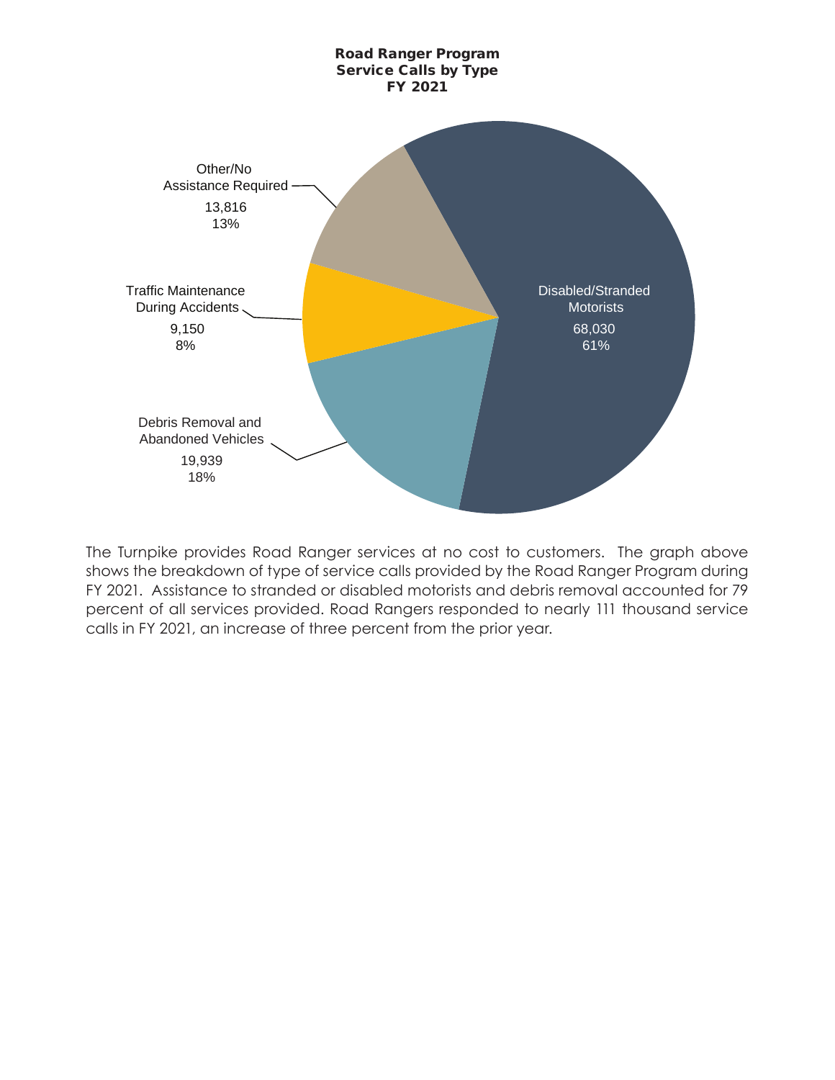

The Turnpike provides Road Ranger services at no cost to customers. The graph above shows the breakdown of type of service calls provided by the Road Ranger Program during FY 2021. Assistance to stranded or disabled motorists and debris removal accounted for 79 percent of all services provided. Road Rangers responded to nearly 111 thousand service calls in FY 2021, an increase of three percent from the prior year.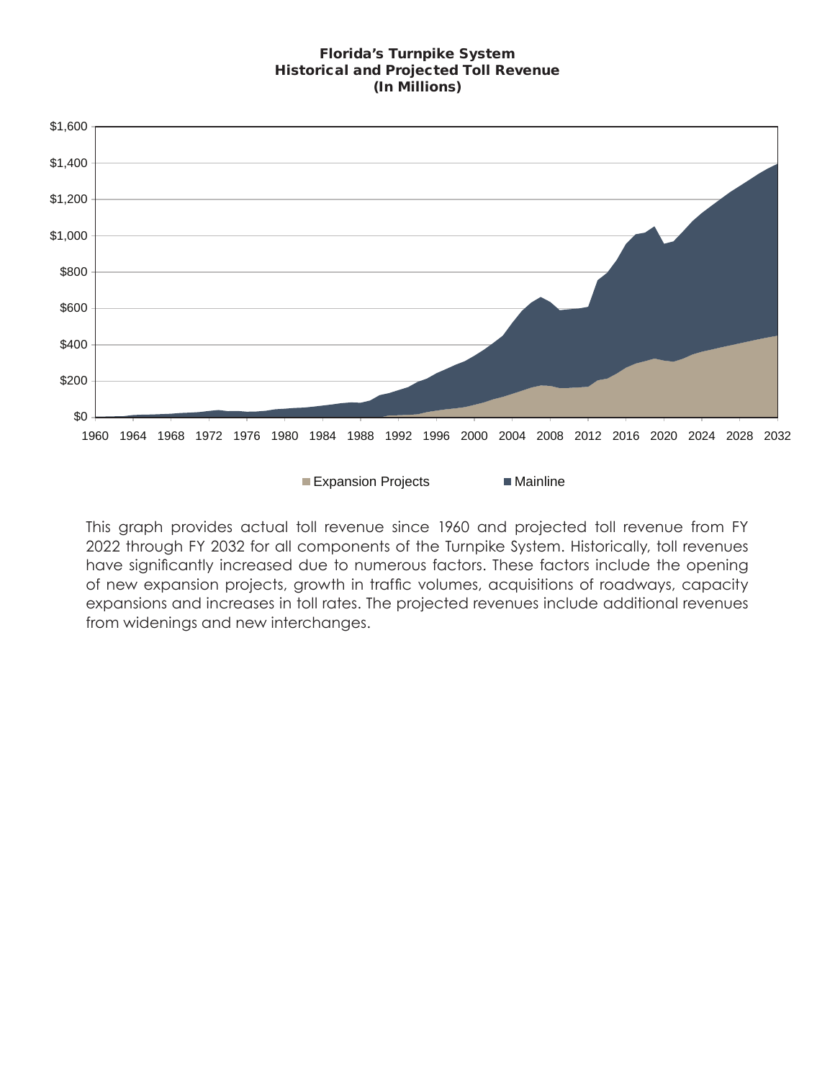### Florida's Turnpike System Historical and Projected Toll Revenue (In Millions)



This graph provides actual toll revenue since 1960 and projected toll revenue from FY 2022 through FY 2032 for all components of the Turnpike System. Historically, toll revenues have significantly increased due to numerous factors. These factors include the opening of new expansion projects, growth in traffic volumes, acquisitions of roadways, capacity expansions and increases in toll rates. The projected revenues include additional revenues from widenings and new interchanges.